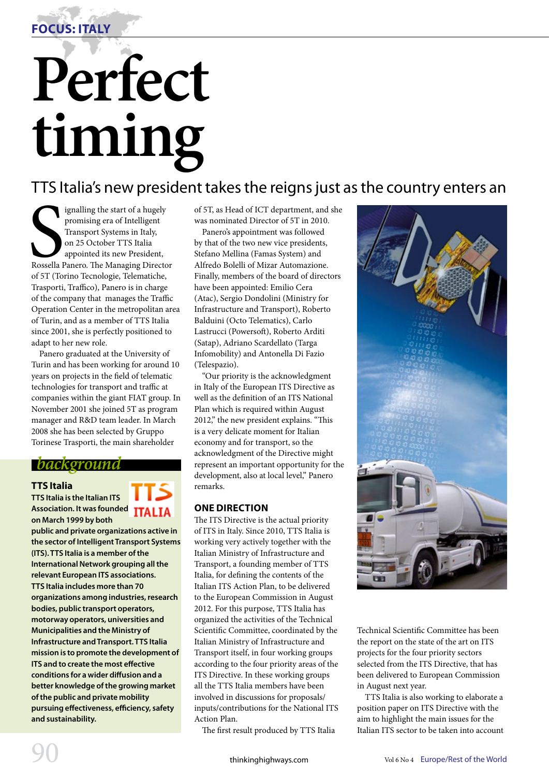

# **Perfect timing**

TTS Italia's new president takes the reigns just as the country enters an

Signalling the start of a hugely<br>
promising era of Intelligent<br>
Transport Systems in Italy,<br>
on 25 October TTS Italia<br>
appointed its new President,<br>
Rossella Panero. The Managing Director<br>
of 5T (Torino Tecnologie Telemati ignalling the start of a hugely promising era of Intelligent Transport Systems in Italy, on 25 October TTS Italia appointed its new President, of 5T (Torino Tecnologie, Telematiche, Trasporti, Traffico), Panero is in charge of the company that manages the Traffic Operation Center in the metropolitan area of Turin, and as a member of TTS Italia since 2001, she is perfectly positioned to adapt to her new role.

Panero graduated at the University of Turin and has been working for around 10 years on projects in the field of telematic technologies for transport and traffic at companies within the giant FIAT group. In November 2001 she joined 5T as program manager and R&D team leader. In March 2008 she has been selected by Gruppo Torinese Trasporti, the main shareholder

## *background*

#### **TTS Italia**

**TTS Italia is the Italian ITS Association. It was founded ITALIA on March 1999 by both** 

**public and private organizations active in the sector of Intelligent Transport Systems (ITS). TTS Italia is a member of the International Network grouping all the relevant European ITS associations. TTS Italia includes more than 70 organizations among industries, research bodies, public transport operators, motorway operators, universities and Municipalities and the Ministry of Infrastructure and Transport. TTS Italia mission is to promote the development of ITS and to create the most effective conditions for a wider diffusion and a better knowledge of the growing market of the public and private mobility pursuing effectiveness, efficiency, safety and sustainability.** 

of 5T, as Head of ICT department, and she was nominated Director of 5T in 2010.

Panero's appointment was followed by that of the two new vice presidents, Stefano Mellina (Famas System) and Alfredo Bolelli of Mizar Automazione. Finally, members of the board of directors have been appointed: Emilio Cera (Atac), Sergio Dondolini (Ministry for Infrastructure and Transport), Roberto Balduini (Octo Telematics), Carlo Lastrucci (Powersoft), Roberto Arditi (Satap), Adriano Scardellato (Targa Infomobility) and Antonella Di Fazio (Telespazio).

"Our priority is the acknowledgment in Italy of the European ITS Directive as well as the definition of an ITS National Plan which is required within August 2012," the new president explains. "This is a very delicate moment for Italian economy and for transport, so the acknowledgment of the Directive might represent an important opportunity for the development, also at local level," Panero remarks.

## **ONE DIRECTION**

The ITS Directive is the actual priority of ITS in Italy. Since 2010, TTS Italia is working very actively together with the Italian Ministry of Infrastructure and Transport, a founding member of TTS Italia, for defining the contents of the Italian ITS Action Plan, to be delivered to the European Commission in August 2012. For this purpose, TTS Italia has organized the activities of the Technical Scientific Committee, coordinated by the Italian Ministry of Infrastructure and Transport itself, in four working groups according to the four priority areas of the ITS Directive. In these working groups all the TTS Italia members have been involved in discussions for proposals/ inputs/contributions for the National ITS Action Plan.

The first result produced by TTS Italia



Technical Scientific Committee has been the report on the state of the art on ITS projects for the four priority sectors selected from the ITS Directive, that has been delivered to European Commission in August next year.

TTS Italia is also working to elaborate a position paper on ITS Directive with the aim to highlight the main issues for the Italian ITS sector to be taken into account